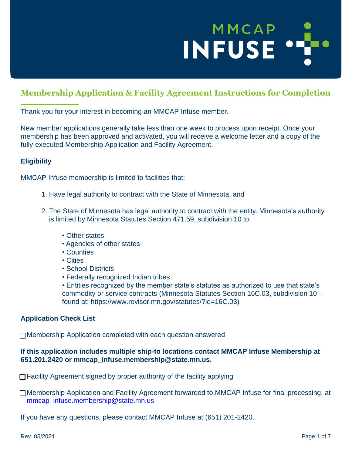# MMCAP INFUSE ..

### **Membership Application & Facility Agreement Instructions for Completion**

Thank you for your interest in becoming an MMCAP Infuse member.

New member applications generally take less than one week to process upon receipt. Once your membership has been approved and activated, you will receive a welcome letter and a copy of the fully-executed Membership Application and Facility Agreement.

### **Eligibility**

MMCAP Infuse membership is limited to facilities that:

- 1. Have legal authority to contract with the State of Minnesota, and
- 2. The State of Minnesota has legal authority to contract with the entity. Minnesota's authority is limited by Minnesota Statutes Section 471.59, subdivision 10 to:
	- Other states
	- Agencies of other states
	- Counties
	- Cities
	- School Districts
	- Federally recognized Indian tribes

• Entities recognized by the member state's statutes as authorized to use that state's commodity or service contracts (Minnesota Statutes Section 16C.03, subdivision 10 – found at: [https://www.](http://www.revisor.mn.gov/statutes/?id=16C.03))reviso[r.mn.gov/statutes/?id=16C.03\)](http://www.revisor.mn.gov/statutes/?id=16C.03))

### **Application Check List**

□ Membership Application completed with each question answered

### **If this application includes multiple ship-to locations contact MMCAP Infuse Membership at 651.201.2420 or [mmcap\\_infuse.membership@state.mn.us.](mailto:mmcap_infuse.membership@state.mn.us)**

□ Facility Agreement signed by proper authority of the facility applying

□ Membership Application and Facility Agreement forwarded to MMCAP Infuse for final processing, at [mmcap\\_infuse.membership@state.mn.us](mailto:mmcap_infuse.membership@state.mn.us)

If you have any questions, please contact MMCAP Infuse at (651) 201-2420.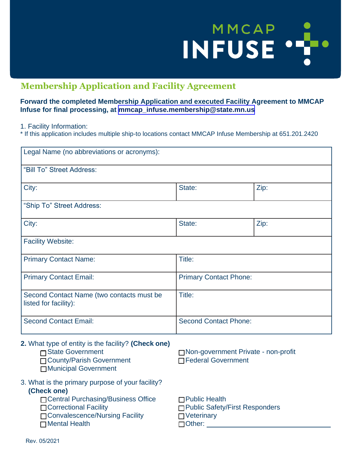# MMCAP ..

### **Membership Application and Facility Agreement**

### **Forward the completed Membership Application and executed Facility Agreement to MMCAP Infuse for final processing, at [mmcap\\_infuse.membership@state.mn.us](mmcap_infuse.membership@state.mn.us)**

1. Facility Information:

\* If this application includes multiple ship-to locations contact MMCAP Infuse Membership at 651.201.2420

| Legal Name (no abbreviations or acronyms):                                                                                                                                                |                                                                                                 |      |
|-------------------------------------------------------------------------------------------------------------------------------------------------------------------------------------------|-------------------------------------------------------------------------------------------------|------|
| "Bill To" Street Address:                                                                                                                                                                 |                                                                                                 |      |
| City:                                                                                                                                                                                     | State:                                                                                          | Zip: |
| "Ship To" Street Address:                                                                                                                                                                 |                                                                                                 |      |
| City:                                                                                                                                                                                     | State:                                                                                          | Zip: |
| <b>Facility Website:</b>                                                                                                                                                                  |                                                                                                 |      |
| <b>Primary Contact Name:</b>                                                                                                                                                              | Title:                                                                                          |      |
| <b>Primary Contact Email:</b>                                                                                                                                                             | <b>Primary Contact Phone:</b>                                                                   |      |
| Second Contact Name (two contacts must be<br>listed for facility):                                                                                                                        | Title:                                                                                          |      |
| <b>Second Contact Email:</b>                                                                                                                                                              | <b>Second Contact Phone:</b>                                                                    |      |
| 2. What type of entity is the facility? (Check one)<br>□ State Government<br>□ County/Parish Government<br>□ Municipal Government                                                         | □ Non-government Private - non-profit<br><b>□Federal Government</b>                             |      |
| 3. What is the primary purpose of your facility?<br>(Check one)<br>□ Central Purchasing/Business Office<br>□ Correctional Facility<br>□ Convalescence/Nursing Facility<br>□ Mental Health | <b>□Public Health</b><br>□ Public Safety/First Responders<br>$\Box$ Veterinary<br>$\Box$ Other: |      |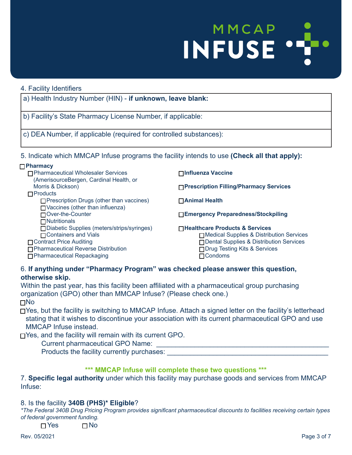## MMCAP INFUSE .

#### 4. Facility Identifiers a) Health Industry Number (HIN) - **if unknown, leave blank:** b) Facility's State Pharmacy License Number, if applicable: c) DEA Number, if applicable (required for controlled substances): 5. Indicate which MMCAP Infuse programs the facility intends to use **(Check all that apply):** □ **Influenza Vaccine** □ **Prescription Filling/Pharmacy Services** □ **Animal Health** □ **Emergency Preparedness/Stockpiling** □ **Healthcare Products & Services** □ Medical Supplies & Distribution Services □ Dental Supplies & Distribution Services □ Drug Testing Kits & Services □ **Pharmacy** □ Pharmaceutical Wholesaler Services (AmerisourceBergen, Cardinal Health, or Morris & Dickson) □ Products  $\Box$  Prescription Drugs (other than vaccines)  $\Box$  Vaccines (other than influenza) □ Over-the-Counter □ Nutritionals □ Diabetic Supplies (meters/strips/syringes) □ Containers and Vials □ Contract Price Auditing

□ Pharmaceutical Reverse Distribution

□ Pharmaceutical Repackaging

### 6. **If anything under "Pharmacy Program" was checked please answer this question, otherwise skip.**

Within the past year, has this facility been affiliated with a pharmaceutical group purchasing organization (GPO) other than MMCAP Infuse? (Please check one.) □ No

□ Yes, but the facility is switching to MMCAP Infuse. Attach a signed letter on the facility's letterhead stating that it wishes to discontinue your association with its current pharmaceutical GPO and use MMCAP Infuse instead.

□ Condoms

□ Yes, and the facility will remain with its current GPO.

Current pharmaceutical GPO Name:

Products the facility currently purchases:

### **\*\*\* MMCAP Infuse will complete these two questions \*\*\***

7. **Specific legal authority** under which this facility may purchase goods and services from MMCAP Infuse:

### 8. Is the facility **340B (PHS)\* Eligible**?

*\*The Federal 340B Drug Pricing Program provides significant pharmaceutical discounts to facilities receiving certain types of federal government funding.*

 $\square$  Yes  $\square$  No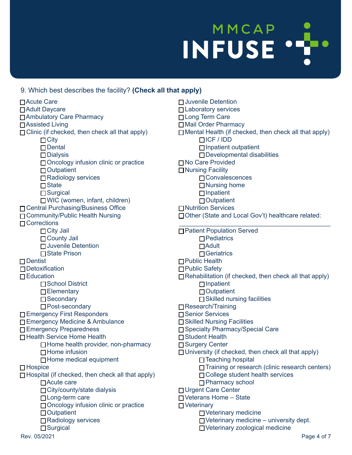# INFUSE . MMCAP

### 9. Which best describes the facility? **(Check all that apply)**

Rev. 05/2021 Page 4 of 7 □ Acute Care □ Adult Daycare □ Ambulatory Care Pharmacy □ Assisted Living  $\Box$  Clinic (if checked, then check all that apply)  $\Box$  City □ Dental □ Dialysis □ Oncology infusion clinic or practice □ Outpatient □ Radiology services □ State □ Surgical □ WIC (women, infant, children) □ Central Purchasing/Business Office □ Community/Public Health Nursing □ Corrections □ City Jail □ County Jail □ Juvenile Detention □ State Prison □ Dentist □ Detoxification □ Education □ School District □ Elementary □ Secondary □ Post-secondary □ Emergency First Responders □ Emergency Medicine & Ambulance □ Emergency Preparedness □ Health Service Home Health □ Home health provider, non-pharmacy  $\Box$  Home infusion  $\Box$  Home medical equipment □ Hospice □ Hospital (if checked, then check all that apply) □ Acute care □ City/county/state dialysis □ Long-term care □ Oncology infusion clinic or practice □ Outpatient □ Radiology services □ Surgical □ Juvenile Detention □ Laboratory services □ Long Term Care □ Mail Order Pharmacy  $\Box$  Mental Health (if checked, then check all that apply) □ ICF / IDD □ Inpatient outpatient □ Developmental disabilities □ No Care Provided □ Nursing Facility □ Convalescences □ Nursing home □ Inpatient □ Outpatient □ Nutrition Services □ Other (State and Local Gov't) healthcare related: \_\_\_\_\_\_\_\_\_\_\_\_\_\_\_\_\_\_\_\_\_\_\_\_\_\_\_\_\_\_\_\_\_\_\_\_\_\_\_\_\_\_\_ □ Patient Population Served □ Pediatrics □ Adult □ Geriatrics □ Public Health □ Public Safety  $\Box$  Rehabilitation (if checked, then check all that apply) □ Inpatient □ Outpatient  $\Box$  Skilled nursing facilities □ Research/Training □ Senior Services □ Skilled Nursing Facilities □ Specialty Pharmacy/Special Care □ Student Health □ Surgery Center  $\Box$  University (if checked, then check all that apply) □ Teaching hospital □ Training or research (clinic research centers) □ College student health services □ Pharmacy school □ Urgent Care Center □ Veterans Home – State □ Veterinary □ Veterinary medicine  $\Box$  Veterinary medicine – university dept. □ Veterinary zoological medicine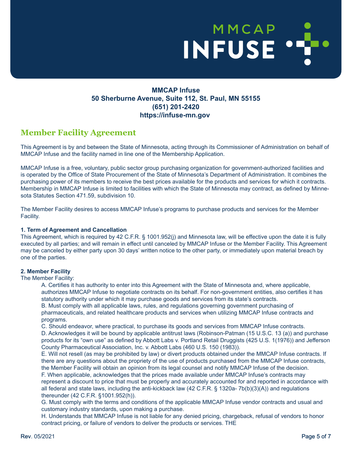# MMCAP MMCAP J

### **MMCAP Infuse 50 Sherburne Avenue, Suite 112, St. Paul, MN 55155 (651) 201-2420 https://infuse-mn.gov**

### **Member Facility Agreement**

This Agreement is by and between the State of Minnesota, acting through its Commissioner of Administration on behalf of MMCAP Infuse and the facility named in line one of the Membership Application.

MMCAP Infuse is a free, voluntary, public sector group purchasing organization for government-authorized facilities and is operated by the Office of State Procurement of the State of Minnesota's Department of Administration. It combines the purchasing power of its members to receive the best prices available for the products and services for which it contracts. Membership in MMCAP Infuse is limited to facilities with which the State of Minnesota may contract, as defined by Minnesota Statutes Section 471.59, subdivision 10.

The Member Facility desires to access MMCAP Infuse's programs to purchase products and services for the Member Facility.

### **1. Term of Agreement and Cancellation**

This Agreement, which is required by 42 C.F.R. § 1001.952(j) and Minnesota law, will be effective upon the date it is fully executed by all parties; and will remain in effect until canceled by MMCAP Infuse or the Member Facility. This Agreement may be canceled by either party upon 30 days' written notice to the other party, or immediately upon material breach by one of the parties.

### **2. Member Facility**

The Member Facility:

A. Certifies it has authority to enter into this Agreement with the State of Minnesota and, where applicable, authorizes MMCAP Infuse to negotiate contracts on its behalf. For non-government entities, also certifies it has statutory authority under which it may purchase goods and services from its state's contracts.

B. Must comply with all applicable laws, rules, and regulations governing government purchasing of pharmaceuticals, and related healthcare products and services when utilizing MMCAP Infuse contracts and programs.

C. Should endeavor, where practical, to purchase its goods and services from MMCAP Infuse contracts.

D. Acknowledges it will be bound by applicable antitrust laws (Robinson-Patman (15 U.S.C. 13 (a)) and purchase products for its "own use" as defined by Abbott Labs v. Portland Retail Druggists (425 U.S. 1(1976)) and Jefferson County Pharmaceutical Association, Inc. v. Abbott Labs (460 U.S. 150 (1983)).

E. Will not resell (as may be prohibited by law) or divert products obtained under the MMCAP Infuse contracts. If there are any questions about the propriety of the use of products purchased from the MMCAP Infuse contracts, the Member Facility will obtain an opinion from its legal counsel and notify MMCAP Infuse of the decision.

F. When applicable, acknowledges that the prices made available under MMCAP Infuse's contracts may represent a discount to price that must be properly and accurately accounted for and reported in accordance with all federal and state laws, including the anti-kickback law (42 C.F.R. § 1320a- 7b(b)(3)(A)) and regulations thereunder (42 C.F.R. §1001.952(h)).

G. Must comply with the terms and conditions of the applicable MMCAP Infuse vendor contracts and usual and customary industry standards, upon making a purchase.

H. Understands that MMCAP Infuse is not liable for any denied pricing, chargeback, refusal of vendors to honor contract pricing, or failure of vendors to deliver the products or services. THE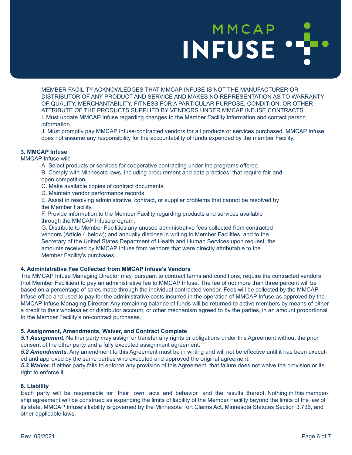# MMCAP **INFUSE**

MEMBER FACILITY ACKNOWLEDGES THAT MMCAP INFUSE IS NOT THE MANUFACTURER OR DISTRIBUTOR OF ANY PRODUCT AND SERVICE AND MAKES NO REPRESENTATION AS TO WARRANTY OF QUALITY, MERCHANTABILITY, FITNESS FOR A PARTICULAR PURPOSE, CONDITION, OR OTHER ATTRIBUTE OF THE PRODUCTS SUPPLIED BY VENDORS UNDER MMCAP INFUSE CONTRACTS. I. Must update MMCAP Infuse regarding changes to the Member Facility information and contact person information.

J. Must promptly pay MMCAP Infuse-contracted vendors for all products or services purchased. MMCAP Infuse does not assume any responsibility for the accountability of funds expended by the member Facility.

### **3. MMCAP Infuse**

#### MMCAP Infuse will:

A. Select products or services for cooperative contracting under the programs offered.

B. Comply with Minnesota laws, including procurement and data practices, that require fair and open competition.

C. Make available copies of contract documents.

D. Maintain vendor performance records.

E. Assist in resolving administrative, contract, or supplier problems that cannot be resolved by the Member Facility.

F. Provide information to the Member Facility regarding products and services available through the MMCAP Infuse program.

G. Distribute to Member Facilities any unused administrative fees collected from contracted vendors (Article 4 below); and annually disclose in writing to Member Facilities, and to the Secretary of the United States Department of Health and Human Services upon request, the amounts received by MMCAP Infuse from vendors that were directly attributable to the Member Facility's purchases.

### **4. Administrative Fee Collected from MMCAP Infuse's Vendors**

The MMCAP Infuse Managing Director may, pursuant to contract terms and conditions, require the contracted vendors (not Member Facilities) to pay an administrative fee to MMCAP Infuse. The fee of not more than three percent will be based on a percentage of sales made through the individual contracted vendor. Fees will be collected by the MMCAP Infuse office and used to pay for the administrative costs incurred in the operation of MMCAP Infuse as approved by the MMCAP Infuse Managing Director. Any remaining balance of funds will be returned to active members by means of either a credit to their wholesaler or distributor account, or other mechanism agreed to by the parties, in an amount proportional to the Member Facility's on-contract purchases.

### **5. Assignment, Amendments, Waiver, and Contract Complete**

*5.1 Assignment.* Neither party may assign or transfer any rights or obligations under this Agreement without the prior consent of the other party and a fully executed assignment agreement.

*5.2 Amendments.* Any amendment to this Agreement must be in writing and will not be effective until it has been executed and approved by the same parties who executed and approved the original agreement.

*5.3 Waiver.* If either party fails to enforce any provision of this Agreement, that failure does not waive the provision or its right to enforce it.

#### **6. Liability**

Each party will be responsible for their own acts and behavior and the results thereof. Nothing in this membership agreement will be construed as expanding the limits of liability of the Member Facility beyond the limits of the law of its state. MMCAP Infuse's liability is governed by the Minnesota Tort Claims Act, Minnesota Statutes Section 3.736, and other applicable laws.